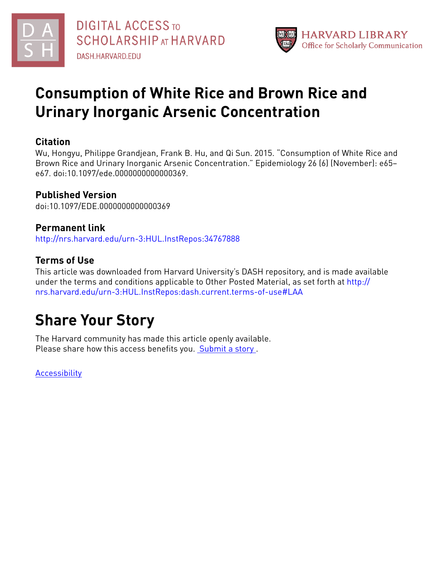

## **Consumption of White Rice and Brown Rice and Urinary Inorganic Arsenic Concentration**

### **Citation**

Wu, Hongyu, Philippe Grandjean, Frank B. Hu, and Qi Sun. 2015. "Consumption of White Rice and Brown Rice and Urinary Inorganic Arsenic Concentration." Epidemiology 26 (6) (November): e65– e67. doi:10.1097/ede.0000000000000369.

### **Published Version**

doi:10.1097/EDE.0000000000000369

### **Permanent link**

<http://nrs.harvard.edu/urn-3:HUL.InstRepos:34767888>

### **Terms of Use**

This article was downloaded from Harvard University's DASH repository, and is made available under the terms and conditions applicable to Other Posted Material, as set forth at [http://](http://nrs.harvard.edu/urn-3:HUL.InstRepos:dash.current.terms-of-use#LAA) [nrs.harvard.edu/urn-3:HUL.InstRepos:dash.current.terms-of-use#LAA](http://nrs.harvard.edu/urn-3:HUL.InstRepos:dash.current.terms-of-use#LAA)

# **Share Your Story**

The Harvard community has made this article openly available. Please share how this access benefits you. [Submit](http://osc.hul.harvard.edu/dash/open-access-feedback?handle=&title=Consumption%20of%20White%20Rice%20and%20Brown%20Rice%20and%20Urinary%20Inorganic%20Arsenic%20Concentration&community=1/4454687&collection=1/4454688&owningCollection1/4454688&harvardAuthors=304ef4d348dec93c145c7cb4724b8d5a&department) a story .

**[Accessibility](https://dash.harvard.edu/pages/accessibility)**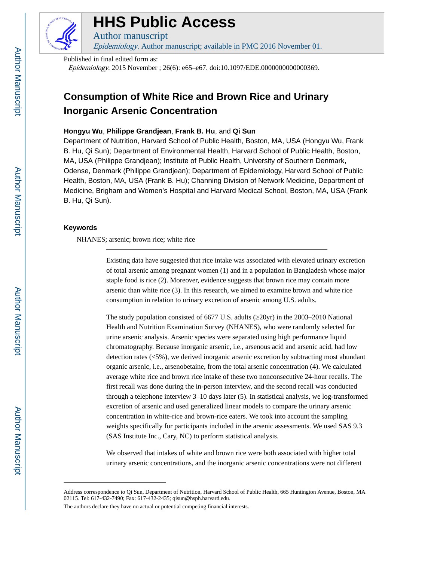

## **HHS Public Access**

Author manuscript Epidemiology. Author manuscript; available in PMC 2016 November 01.

Published in final edited form as:

Epidemiology. 2015 November ; 26(6): e65–e67. doi:10.1097/EDE.0000000000000369.

### **Consumption of White Rice and Brown Rice and Urinary Inorganic Arsenic Concentration**

#### **Hongyu Wu**, **Philippe Grandjean**, **Frank B. Hu**, and **Qi Sun**

Department of Nutrition, Harvard School of Public Health, Boston, MA, USA (Hongyu Wu, Frank B. Hu, Qi Sun); Department of Environmental Health, Harvard School of Public Health, Boston, MA, USA (Philippe Grandjean); Institute of Public Health, University of Southern Denmark, Odense, Denmark (Philippe Grandjean); Department of Epidemiology, Harvard School of Public Health, Boston, MA, USA (Frank B. Hu); Channing Division of Network Medicine, Department of Medicine, Brigham and Women's Hospital and Harvard Medical School, Boston, MA, USA (Frank B. Hu, Qi Sun).

#### **Keywords**

NHANES; arsenic; brown rice; white rice

Existing data have suggested that rice intake was associated with elevated urinary excretion of total arsenic among pregnant women (1) and in a population in Bangladesh whose major staple food is rice (2). Moreover, evidence suggests that brown rice may contain more arsenic than white rice (3). In this research, we aimed to examine brown and white rice consumption in relation to urinary excretion of arsenic among U.S. adults.

The study population consisted of 6677 U.S. adults  $(20yr)$  in the 2003–2010 National Health and Nutrition Examination Survey (NHANES), who were randomly selected for urine arsenic analysis. Arsenic species were separated using high performance liquid chromatography. Because inorganic arsenic, i.e., arsenous acid and arsenic acid, had low detection rates (<5%), we derived inorganic arsenic excretion by subtracting most abundant organic arsenic, i.e., arsenobetaine, from the total arsenic concentration (4). We calculated average white rice and brown rice intake of these two nonconsecutive 24-hour recalls. The first recall was done during the in-person interview, and the second recall was conducted through a telephone interview 3–10 days later (5). In statistical analysis, we log-transformed excretion of arsenic and used generalized linear models to compare the urinary arsenic concentration in white-rice and brown-rice eaters. We took into account the sampling weights specifically for participants included in the arsenic assessments. We used SAS 9.3 (SAS Institute Inc., Cary, NC) to perform statistical analysis.

We observed that intakes of white and brown rice were both associated with higher total urinary arsenic concentrations, and the inorganic arsenic concentrations were not different

The authors declare they have no actual or potential competing financial interests.

Address correspondence to Qi Sun, Department of Nutrition, Harvard School of Public Health, 665 Huntington Avenue, Boston, MA 02115. Tel: 617-432-7490; Fax: 617-432-2435; qisun@hsph.harvard.edu.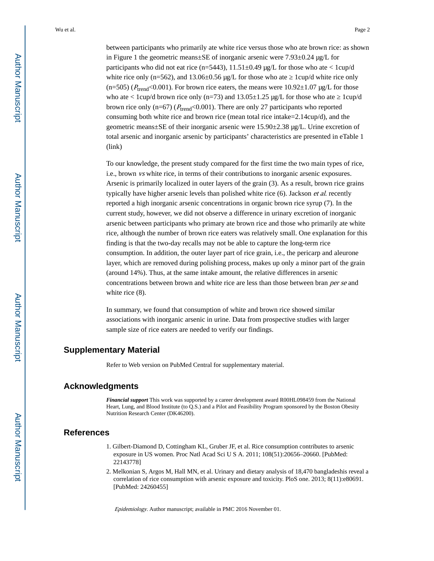Wu et al. Page 2

between participants who primarily ate white rice versus those who ate brown rice: as shown in Figure 1 the geometric means±SE of inorganic arsenic were  $7.93\pm0.24$  µg/L for participants who did not eat rice (n=5443),  $11.51\pm0.49$  µg/L for those who ate <  $1 \text{cup}/d$ white rice only (n=562), and  $13.06\pm0.56$  µg/L for those who ate l cup/d white rice only  $(n=505)$  ( $P<sub>trend</sub><0.001$ ). For brown rice eaters, the means were 10.92 $\pm$ 1.07  $\mu g/L$  for those who ate < 1cup/d brown rice only (n=73) and  $13.05 \pm 1.25$  µg/L for those who ate 1cup/d brown rice only (n=67) ( $P_{trend}$ <0.001). There are only 27 participants who reported consuming both white rice and brown rice (mean total rice intake=2.14cup/d), and the geometric means $\pm$ SE of their inorganic arsenic were 15.90 $\pm$ 2.38  $\mu$ g/L. Urine excretion of total arsenic and inorganic arsenic by participants' characteristics are presented in eTable 1 (link)

To our knowledge, the present study compared for the first time the two main types of rice, i.e., brown vs white rice, in terms of their contributions to inorganic arsenic exposures. Arsenic is primarily localized in outer layers of the grain (3). As a result, brown rice grains typically have higher arsenic levels than polished white rice (6). Jackson et al. recently reported a high inorganic arsenic concentrations in organic brown rice syrup (7). In the current study, however, we did not observe a difference in urinary excretion of inorganic arsenic between participants who primary ate brown rice and those who primarily ate white rice, although the number of brown rice eaters was relatively small. One explanation for this finding is that the two-day recalls may not be able to capture the long-term rice consumption. In addition, the outer layer part of rice grain, i.e., the pericarp and aleurone layer, which are removed during polishing process, makes up only a minor part of the grain (around 14%). Thus, at the same intake amount, the relative differences in arsenic concentrations between brown and white rice are less than those between bran *per se* and white rice  $(8)$ .

In summary, we found that consumption of white and brown rice showed similar associations with inorganic arsenic in urine. Data from prospective studies with larger sample size of rice eaters are needed to verify our findings.

#### **Supplementary Material**

Refer to Web version on PubMed Central for supplementary material.

### **Acknowledgments**

*Financial support* This work was supported by a career development award R00HL098459 from the National Heart, Lung, and Blood Institute (to Q.S.) and a Pilot and Feasibility Program sponsored by the Boston Obesity Nutrition Research Center (DK46200).

### **References**

- 1. Gilbert-Diamond D, Cottingham KL, Gruber JF, et al. Rice consumption contributes to arsenic exposure in US women. Proc Natl Acad Sci U S A. 2011; 108(51):20656–20660. [PubMed: 22143778]
- 2. Melkonian S, Argos M, Hall MN, et al. Urinary and dietary analysis of 18,470 bangladeshis reveal a correlation of rice consumption with arsenic exposure and toxicity. PloS one. 2013; 8(11):e80691. [PubMed: 24260455]

Epidemiology. Author manuscript; available in PMC 2016 November 01.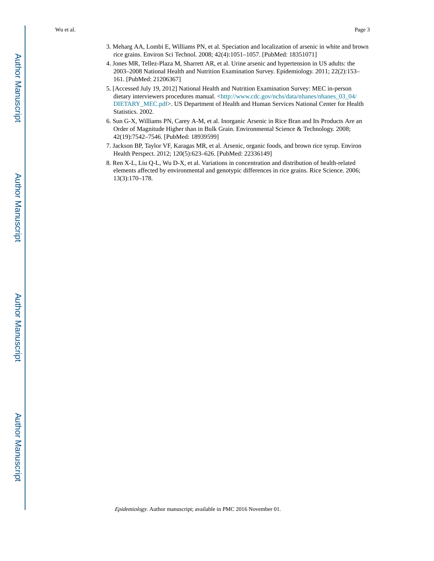Wu et al. Page 3

- 3. Meharg AA, Lombi E, Williams PN, et al. Speciation and localization of arsenic in white and brown rice grains. Environ Sci Technol. 2008; 42(4):1051–1057. [PubMed: 18351071]
- 4. Jones MR, Tellez-Plaza M, Sharrett AR, et al. Urine arsenic and hypertension in US adults: the 2003–2008 National Health and Nutrition Examination Survey. Epidemiology. 2011; 22(2):153– 161. [PubMed: 21206367]
- 5. [Accessed July 19, 2012] National Health and Nutrition Examination Survey: MEC in-person dietary interviewers procedures manual. <[http://www.cdc.gov/nchs/data/nhanes/nhanes\\_03\\_04/](http://www.cdc.gov/nchs/data/nhanes/nhanes_03_04/DIETARY_MEC.pdf) [DIETARY\\_MEC.pdf](http://www.cdc.gov/nchs/data/nhanes/nhanes_03_04/DIETARY_MEC.pdf)>. US Department of Health and Human Services National Center for Health Statistics. 2002.
- 6. Sun G-X, Williams PN, Carey A-M, et al. Inorganic Arsenic in Rice Bran and Its Products Are an Order of Magnitude Higher than in Bulk Grain. Environmental Science & Technology. 2008; 42(19):7542–7546. [PubMed: 18939599]
- 7. Jackson BP, Taylor VF, Karagas MR, et al. Arsenic, organic foods, and brown rice syrup. Environ Health Perspect. 2012; 120(5):623–626. [PubMed: 22336149]
- 8. Ren X-L, Liu Q-L, Wu D-X, et al. Variations in concentration and distribution of health-related elements affected by environmental and genotypic differences in rice grains. Rice Science. 2006; 13(3):170–178.